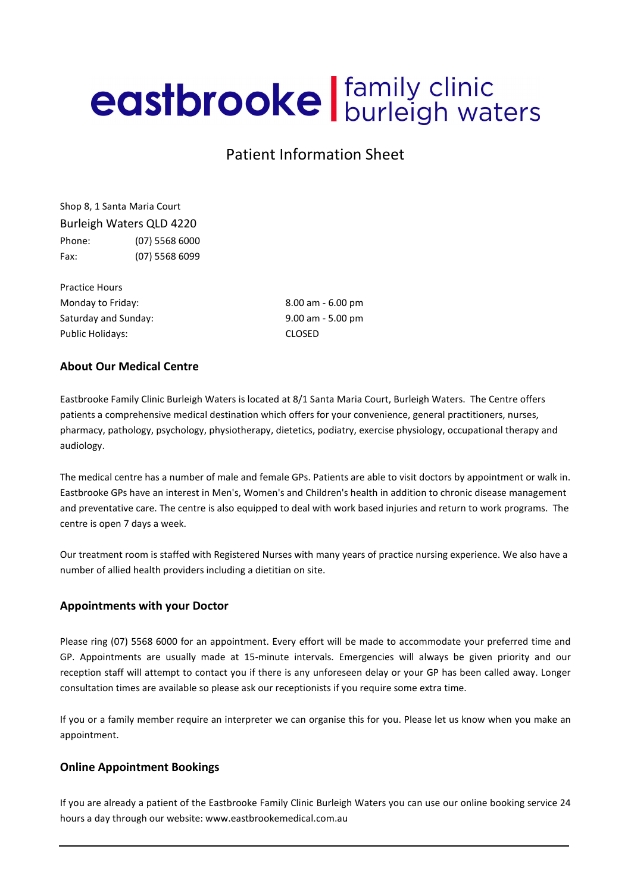# eastbrooke | family clinic

# Patient Information Sheet

Shop 8, 1 Santa Maria Court Burleigh Waters QLD 4220 Phone: (07) 5568 6000 Fax: (07) 5568 6099

Practice Hours Monday to Friday: 8.00 am - 6.00 pm Saturday and Sunday: 9.00 am - 5.00 pm Public Holidays: CLOSED

# About Our Medical Centre

Eastbrooke Family Clinic Burleigh Waters is located at 8/1 Santa Maria Court, Burleigh Waters. The Centre offers patients a comprehensive medical destination which offers for your convenience, general practitioners, nurses, pharmacy, pathology, psychology, physiotherapy, dietetics, podiatry, exercise physiology, occupational therapy and audiology.

The medical centre has a number of male and female GPs. Patients are able to visit doctors by appointment or walk in. Eastbrooke GPs have an interest in Men's, Women's and Children's health in addition to chronic disease management and preventative care. The centre is also equipped to deal with work based injuries and return to work programs. The centre is open 7 days a week.

Our treatment room is staffed with Registered Nurses with many years of practice nursing experience. We also have a number of allied health providers including a dietitian on site.

# Appointments with your Doctor

Please ring (07) 5568 6000 for an appointment. Every effort will be made to accommodate your preferred time and GP. Appointments are usually made at 15-minute intervals. Emergencies will always be given priority and our reception staff will attempt to contact you if there is any unforeseen delay or your GP has been called away. Longer consultation times are available so please ask our receptionists if you require some extra time.

If you or a family member require an interpreter we can organise this for you. Please let us know when you make an appointment.

## Online Appointment Bookings

If you are already a patient of the Eastbrooke Family Clinic Burleigh Waters you can use our online booking service 24 hours a day through our website: www.eastbrookemedical.com.au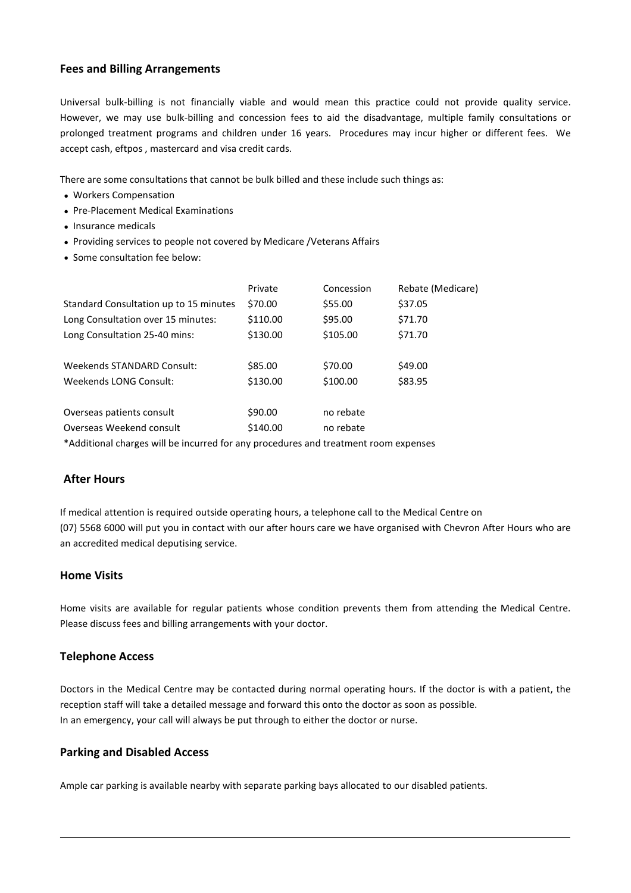# Fees and Billing Arrangements

Universal bulk-billing is not financially viable and would mean this practice could not provide quality service. However, we may use bulk-billing and concession fees to aid the disadvantage, multiple family consultations or prolonged treatment programs and children under 16 years. Procedures may incur higher or different fees. We accept cash, eftpos , mastercard and visa credit cards.

There are some consultations that cannot be bulk billed and these include such things as:

- Workers Compensation
- Pre-Placement Medical Examinations
- Insurance medicals
- Providing services to people not covered by Medicare /Veterans Affairs
- Some consultation fee below:

|                                                                                     | Private  | Concession | Rebate (Medicare) |
|-------------------------------------------------------------------------------------|----------|------------|-------------------|
| Standard Consultation up to 15 minutes                                              | \$70.00  | \$55.00    | \$37.05           |
| Long Consultation over 15 minutes:                                                  | \$110.00 | \$95.00    | \$71.70           |
| Long Consultation 25-40 mins:                                                       | \$130.00 | \$105.00   | \$71.70           |
|                                                                                     |          |            |                   |
| Weekends STANDARD Consult:                                                          | \$85.00  | \$70.00    | \$49.00           |
| Weekends LONG Consult:                                                              | \$130.00 | \$100.00   | \$83.95           |
|                                                                                     |          |            |                   |
| Overseas patients consult                                                           | \$90.00  | no rebate  |                   |
| Overseas Weekend consult                                                            | \$140.00 | no rebate  |                   |
| *Additional charges will be incurred for any procedures and treatment room expenses |          |            |                   |

## After Hours

If medical attention is required outside operating hours, a telephone call to the Medical Centre on (07) 5568 6000 will put you in contact with our after hours care we have organised with Chevron After Hours who are an accredited medical deputising service.

## Home Visits

Home visits are available for regular patients whose condition prevents them from attending the Medical Centre. Please discuss fees and billing arrangements with your doctor.

## Telephone Access

Doctors in the Medical Centre may be contacted during normal operating hours. If the doctor is with a patient, the reception staff will take a detailed message and forward this onto the doctor as soon as possible. In an emergency, your call will always be put through to either the doctor or nurse.

## Parking and Disabled Access

Ample car parking is available nearby with separate parking bays allocated to our disabled patients.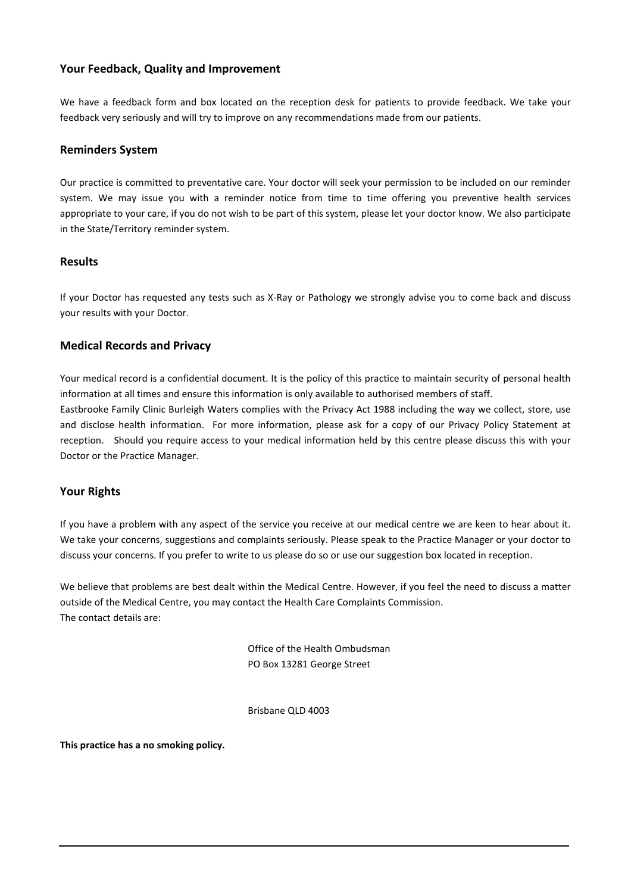# Your Feedback, Quality and Improvement

We have a feedback form and box located on the reception desk for patients to provide feedback. We take your feedback very seriously and will try to improve on any recommendations made from our patients.

#### Reminders System

Our practice is committed to preventative care. Your doctor will seek your permission to be included on our reminder system. We may issue you with a reminder notice from time to time offering you preventive health services appropriate to your care, if you do not wish to be part of this system, please let your doctor know. We also participate in the State/Territory reminder system.

#### Results

If your Doctor has requested any tests such as X-Ray or Pathology we strongly advise you to come back and discuss your results with your Doctor.

## Medical Records and Privacy

Your medical record is a confidential document. It is the policy of this practice to maintain security of personal health information at all times and ensure this information is only available to authorised members of staff. Eastbrooke Family Clinic Burleigh Waters complies with the Privacy Act 1988 including the way we collect, store, use and disclose health information. For more information, please ask for a copy of our Privacy Policy Statement at reception. Should you require access to your medical information held by this centre please discuss this with your Doctor or the Practice Manager.

## Your Rights

If you have a problem with any aspect of the service you receive at our medical centre we are keen to hear about it. We take your concerns, suggestions and complaints seriously. Please speak to the Practice Manager or your doctor to discuss your concerns. If you prefer to write to us please do so or use our suggestion box located in reception.

We believe that problems are best dealt within the Medical Centre. However, if you feel the need to discuss a matter outside of the Medical Centre, you may contact the Health Care Complaints Commission. The contact details are:

> Office of the Health Ombudsman PO Box 13281 George Street

Brisbane QLD 4003

This practice has a no smoking policy.